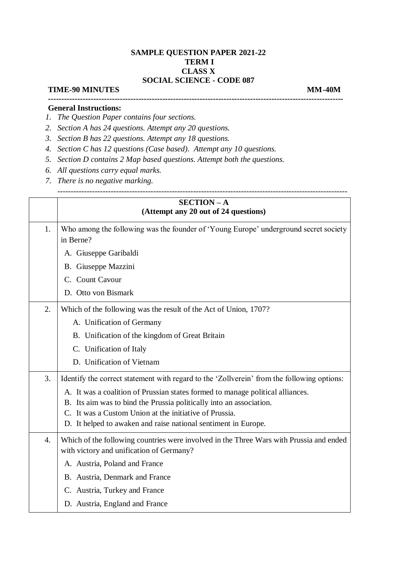## **SAMPLE QUESTION PAPER 2021-22 TERM I CLASS X SOCIAL SCIENCE - CODE 087**

## **TIME-90 MINUTES MM-40M**

**---------------------------------------------------------------------------------------------------------------**

-------------------------------------------------------------------------------------------------------------

## **General Instructions:**

- *1. The Question Paper contains four sections.*
- *2. Section A has 24 questions. Attempt any 20 questions.*
- *3. Section B has 22 questions. Attempt any 18 questions.*
- *4. Section C has 12 questions (Case based). Attempt any 10 questions.*
- *5. Section D contains 2 Map based questions. Attempt both the questions.*
- *6. All questions carry equal marks.*
- *7. There is no negative marking.*

|                  | <b>SECTION-A</b><br>(Attempt any 20 out of 24 questions)                                                                            |
|------------------|-------------------------------------------------------------------------------------------------------------------------------------|
| 1.               | Who among the following was the founder of 'Young Europe' underground secret society<br>in Berne?                                   |
|                  | A. Giuseppe Garibaldi                                                                                                               |
|                  | B. Giuseppe Mazzini                                                                                                                 |
|                  | C. Count Cavour                                                                                                                     |
|                  | D. Otto von Bismark                                                                                                                 |
| 2.               | Which of the following was the result of the Act of Union, 1707?                                                                    |
|                  | A. Unification of Germany                                                                                                           |
|                  | B. Unification of the kingdom of Great Britain                                                                                      |
|                  | C. Unification of Italy                                                                                                             |
|                  | D. Unification of Vietnam                                                                                                           |
| 3.               | Identify the correct statement with regard to the 'Zollverein' from the following options:                                          |
|                  | A. It was a coalition of Prussian states formed to manage political alliances.                                                      |
|                  | B. Its aim was to bind the Prussia politically into an association.                                                                 |
|                  | C. It was a Custom Union at the initiative of Prussia.                                                                              |
|                  | D. It helped to awaken and raise national sentiment in Europe.                                                                      |
| $\overline{4}$ . | Which of the following countries were involved in the Three Wars with Prussia and ended<br>with victory and unification of Germany? |
|                  | A. Austria, Poland and France                                                                                                       |
|                  | B. Austria, Denmark and France                                                                                                      |
|                  | C. Austria, Turkey and France                                                                                                       |
|                  | D. Austria, England and France                                                                                                      |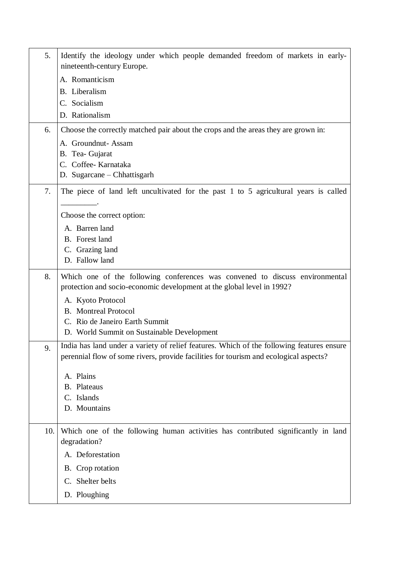| 5.  | Identify the ideology under which people demanded freedom of markets in early-<br>nineteenth-century Europe.                                                                       |
|-----|------------------------------------------------------------------------------------------------------------------------------------------------------------------------------------|
|     | A. Romanticism                                                                                                                                                                     |
|     | <b>B.</b> Liberalism                                                                                                                                                               |
|     | C. Socialism                                                                                                                                                                       |
|     | D. Rationalism                                                                                                                                                                     |
| 6.  | Choose the correctly matched pair about the crops and the areas they are grown in:                                                                                                 |
|     | A. Groundnut-Assam                                                                                                                                                                 |
|     | B. Tea- Gujarat<br>C. Coffee-Karnataka                                                                                                                                             |
|     | D. Sugarcane – Chhattisgarh                                                                                                                                                        |
|     |                                                                                                                                                                                    |
| 7.  | The piece of land left uncultivated for the past 1 to 5 agricultural years is called                                                                                               |
|     | Choose the correct option:                                                                                                                                                         |
|     | A. Barren land                                                                                                                                                                     |
|     | B. Forest land                                                                                                                                                                     |
|     | C. Grazing land                                                                                                                                                                    |
|     | D. Fallow land                                                                                                                                                                     |
| 8.  | Which one of the following conferences was convened to discuss environmental<br>protection and socio-economic development at the global level in 1992?                             |
|     | A. Kyoto Protocol                                                                                                                                                                  |
|     | <b>B.</b> Montreal Protocol                                                                                                                                                        |
|     | C. Rio de Janeiro Earth Summit                                                                                                                                                     |
|     | D. World Summit on Sustainable Development                                                                                                                                         |
| 9.  | India has land under a variety of relief features. Which of the following features ensure<br>perennial flow of some rivers, provide facilities for tourism and ecological aspects? |
|     | A. Plains                                                                                                                                                                          |
|     | <b>B.</b> Plateaus                                                                                                                                                                 |
|     | C. Islands                                                                                                                                                                         |
|     | D. Mountains                                                                                                                                                                       |
| 10. | Which one of the following human activities has contributed significantly in land<br>degradation?                                                                                  |
|     | A. Deforestation                                                                                                                                                                   |
|     | B. Crop rotation                                                                                                                                                                   |
|     | C. Shelter belts                                                                                                                                                                   |
|     | D. Ploughing                                                                                                                                                                       |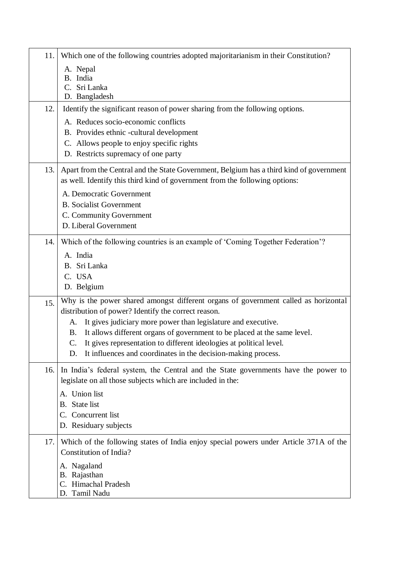| 11.  | Which one of the following countries adopted majoritarianism in their Constitution?                                                                                                                                                                                                                                                                                                                                                                      |
|------|----------------------------------------------------------------------------------------------------------------------------------------------------------------------------------------------------------------------------------------------------------------------------------------------------------------------------------------------------------------------------------------------------------------------------------------------------------|
|      | A. Nepal<br>B. India<br>Sri Lanka<br>$C_{\cdot}$<br>D. Bangladesh                                                                                                                                                                                                                                                                                                                                                                                        |
| 12.  | Identify the significant reason of power sharing from the following options.                                                                                                                                                                                                                                                                                                                                                                             |
|      | A. Reduces socio-economic conflicts<br>B. Provides ethnic -cultural development<br>C. Allows people to enjoy specific rights<br>D. Restricts supremacy of one party                                                                                                                                                                                                                                                                                      |
| 13.1 | Apart from the Central and the State Government, Belgium has a third kind of government<br>as well. Identify this third kind of government from the following options:<br>A. Democratic Government<br><b>B.</b> Socialist Government<br>C. Community Government<br>D. Liberal Government                                                                                                                                                                 |
| 14.  | Which of the following countries is an example of 'Coming Together Federation'?<br>A. India<br>B. Sri Lanka<br>C. USA<br>D. Belgium                                                                                                                                                                                                                                                                                                                      |
| 15.  | Why is the power shared amongst different organs of government called as horizontal<br>distribution of power? Identify the correct reason.<br>It gives judiciary more power than legislature and executive.<br>A.<br>It allows different organs of government to be placed at the same level.<br><b>B.</b><br>It gives representation to different ideologies at political level.<br>C.<br>It influences and coordinates in the decision-making process. |
| 16.  | In India's federal system, the Central and the State governments have the power to<br>legislate on all those subjects which are included in the:<br>A. Union list<br><b>B.</b> State list<br>C. Concurrent list<br>D. Residuary subjects                                                                                                                                                                                                                 |
| 17.  | Which of the following states of India enjoy special powers under Article 371A of the<br>Constitution of India?<br>A. Nagaland<br>B. Rajasthan<br>C. Himachal Pradesh<br>D. Tamil Nadu                                                                                                                                                                                                                                                                   |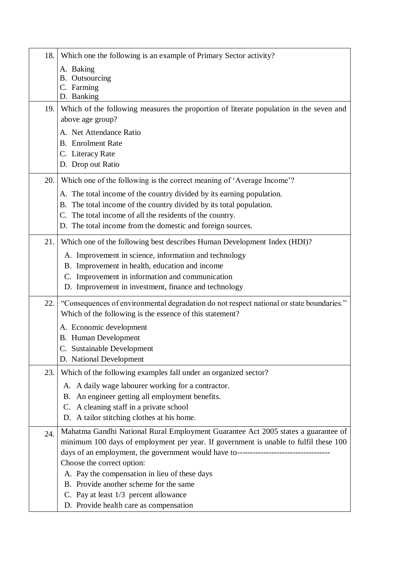| 18. | Which one the following is an example of Primary Sector activity?                                                                                                                                                                                                                                                                                                                                                                                                              |
|-----|--------------------------------------------------------------------------------------------------------------------------------------------------------------------------------------------------------------------------------------------------------------------------------------------------------------------------------------------------------------------------------------------------------------------------------------------------------------------------------|
|     | A. Baking<br><b>B.</b> Outsourcing<br>C. Farming<br>D. Banking                                                                                                                                                                                                                                                                                                                                                                                                                 |
| 19. | Which of the following measures the proportion of literate population in the seven and<br>above age group?                                                                                                                                                                                                                                                                                                                                                                     |
|     | A. Net Attendance Ratio<br><b>B.</b> Enrolment Rate<br>C. Literacy Rate<br>D. Drop out Ratio                                                                                                                                                                                                                                                                                                                                                                                   |
| 20. | Which one of the following is the correct meaning of 'Average Income'?                                                                                                                                                                                                                                                                                                                                                                                                         |
|     | A. The total income of the country divided by its earning population.<br>B. The total income of the country divided by its total population.<br>The total income of all the residents of the country.<br>C.<br>D. The total income from the domestic and foreign sources.                                                                                                                                                                                                      |
| 21. | Which one of the following best describes Human Development Index (HDI)?<br>A. Improvement in science, information and technology<br>B. Improvement in health, education and income<br>C. Improvement in information and communication<br>D. Improvement in investment, finance and technology                                                                                                                                                                                 |
| 22. | "Consequences of environmental degradation do not respect national or state boundaries."<br>Which of the following is the essence of this statement?                                                                                                                                                                                                                                                                                                                           |
|     | A. Economic development<br><b>B.</b> Human Development<br>C. Sustainable Development<br>D. National Development                                                                                                                                                                                                                                                                                                                                                                |
| 23. | Which of the following examples fall under an organized sector?                                                                                                                                                                                                                                                                                                                                                                                                                |
|     | A. A daily wage labourer working for a contractor.<br>B. An engineer getting all employment benefits.<br>C. A cleaning staff in a private school<br>D. A tailor stitching clothes at his home.                                                                                                                                                                                                                                                                                 |
| 24. | Mahatma Gandhi National Rural Employment Guarantee Act 2005 states a guarantee of<br>minimum 100 days of employment per year. If government is unable to fulfil these 100<br>days of an employment, the government would have to----------------------------------<br>Choose the correct option:<br>A. Pay the compensation in lieu of these days<br>B. Provide another scheme for the same<br>C. Pay at least 1/3 percent allowance<br>D. Provide health care as compensation |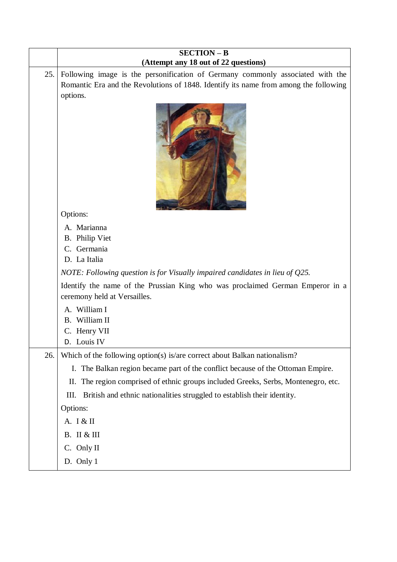|      | <b>SECTION - B</b><br>(Attempt any 18 out of 22 questions)                                                    |
|------|---------------------------------------------------------------------------------------------------------------|
| 25.1 | Following image is the personification of Germany commonly associated with the                                |
|      | Romantic Era and the Revolutions of 1848. Identify its name from among the following<br>options.              |
|      |                                                                                                               |
|      | Options:                                                                                                      |
|      | A. Marianna                                                                                                   |
|      | <b>B.</b> Philip Viet<br>C. Germania                                                                          |
|      | D. La Italia                                                                                                  |
|      | NOTE: Following question is for Visually impaired candidates in lieu of $Q25$ .                               |
|      | Identify the name of the Prussian King who was proclaimed German Emperor in a<br>ceremony held at Versailles. |
|      | A. William I<br>B. William II<br>C. Henry VII<br>D. Louis IV                                                  |
| 26.  | Which of the following option(s) is/are correct about Balkan nationalism?                                     |
|      | The Balkan region became part of the conflict because of the Ottoman Empire.<br>I.                            |
|      | The region comprised of ethnic groups included Greeks, Serbs, Montenegro, etc.<br>П.                          |
|      | British and ethnic nationalities struggled to establish their identity.<br>III.                               |
|      | Options:                                                                                                      |
|      | A. I & II                                                                                                     |
|      | <b>B.</b> II & III                                                                                            |
|      | C. Only II                                                                                                    |
|      | D. Only 1                                                                                                     |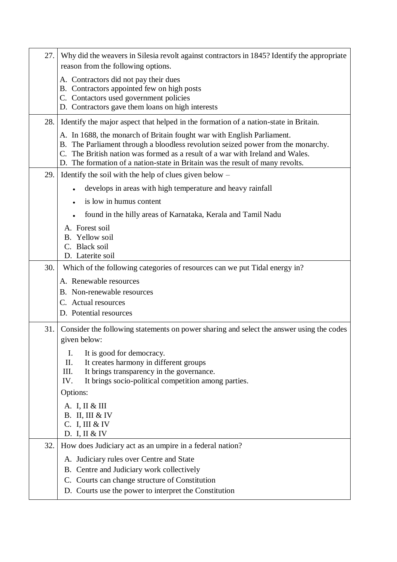| 27.  | Why did the weavers in Silesia revolt against contractors in 1845? Identify the appropriate<br>reason from the following options.                                                                                                                                                                                            |
|------|------------------------------------------------------------------------------------------------------------------------------------------------------------------------------------------------------------------------------------------------------------------------------------------------------------------------------|
|      | A. Contractors did not pay their dues<br>B. Contractors appointed few on high posts<br>C. Contactors used government policies<br>D. Contractors gave them loans on high interests                                                                                                                                            |
|      | 28. Identify the major aspect that helped in the formation of a nation-state in Britain.                                                                                                                                                                                                                                     |
|      | A. In 1688, the monarch of Britain fought war with English Parliament.<br>B. The Parliament through a bloodless revolution seized power from the monarchy.<br>C. The British nation was formed as a result of a war with Ireland and Wales.<br>D. The formation of a nation-state in Britain was the result of many revolts. |
| 29.  | Identify the soil with the help of clues given below $-$                                                                                                                                                                                                                                                                     |
|      | develops in areas with high temperature and heavy rainfall                                                                                                                                                                                                                                                                   |
|      | is low in humus content                                                                                                                                                                                                                                                                                                      |
|      | found in the hilly areas of Karnataka, Kerala and Tamil Nadu                                                                                                                                                                                                                                                                 |
|      | A. Forest soil<br>B. Yellow soil<br>C. Black soil<br>D. Laterite soil                                                                                                                                                                                                                                                        |
| 30.  | Which of the following categories of resources can we put Tidal energy in?                                                                                                                                                                                                                                                   |
|      | A. Renewable resources                                                                                                                                                                                                                                                                                                       |
|      | B. Non-renewable resources                                                                                                                                                                                                                                                                                                   |
|      | C. Actual resources<br>D. Potential resources                                                                                                                                                                                                                                                                                |
|      |                                                                                                                                                                                                                                                                                                                              |
| 31.1 | Consider the following statements on power sharing and select the answer using the codes<br>given below:                                                                                                                                                                                                                     |
|      | It is good for democracy.<br>I.<br>It creates harmony in different groups<br>II.<br>III.<br>It brings transparency in the governance.<br>It brings socio-political competition among parties.<br>IV.<br>Options:                                                                                                             |
|      | A. I, II & III<br><b>B.</b> II, III & IV<br>C. I, III & IV<br>D. I, II & IV                                                                                                                                                                                                                                                  |
| 32.  | How does Judiciary act as an umpire in a federal nation?                                                                                                                                                                                                                                                                     |
|      | A. Judiciary rules over Centre and State                                                                                                                                                                                                                                                                                     |
|      | B. Centre and Judiciary work collectively                                                                                                                                                                                                                                                                                    |
|      | C. Courts can change structure of Constitution<br>D. Courts use the power to interpret the Constitution                                                                                                                                                                                                                      |
|      |                                                                                                                                                                                                                                                                                                                              |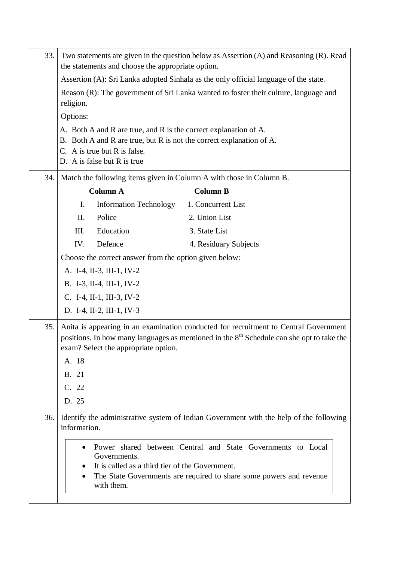| 33. |                                  | the statements and choose the appropriate option.                                                                               | Two statements are given in the question below as Assertion (A) and Reasoning (R). Read                                                                                                                                      |
|-----|----------------------------------|---------------------------------------------------------------------------------------------------------------------------------|------------------------------------------------------------------------------------------------------------------------------------------------------------------------------------------------------------------------------|
|     |                                  |                                                                                                                                 | Assertion (A): Sri Lanka adopted Sinhala as the only official language of the state.                                                                                                                                         |
|     |                                  |                                                                                                                                 | Reason (R): The government of Sri Lanka wanted to foster their culture, language and                                                                                                                                         |
|     | religion.                        |                                                                                                                                 |                                                                                                                                                                                                                              |
|     | Options:                         |                                                                                                                                 |                                                                                                                                                                                                                              |
|     |                                  | A. Both A and R are true, and R is the correct explanation of A.<br>C. A is true but R is false.<br>D. A is false but R is true | B. Both A and R are true, but R is not the correct explanation of A.                                                                                                                                                         |
| 34. |                                  |                                                                                                                                 | Match the following items given in Column A with those in Column B.                                                                                                                                                          |
|     |                                  | <b>Column A</b>                                                                                                                 | <b>Column B</b>                                                                                                                                                                                                              |
|     | Ι.                               | <b>Information Technology</b>                                                                                                   | 1. Concurrent List                                                                                                                                                                                                           |
|     | Π.                               | Police                                                                                                                          | 2. Union List                                                                                                                                                                                                                |
|     | III.                             | Education                                                                                                                       | 3. State List                                                                                                                                                                                                                |
|     | IV.                              | Defence                                                                                                                         | 4. Residuary Subjects                                                                                                                                                                                                        |
|     |                                  | Choose the correct answer from the option given below:                                                                          |                                                                                                                                                                                                                              |
|     |                                  | A. I-4, II-3, III-1, IV-2                                                                                                       |                                                                                                                                                                                                                              |
|     |                                  | B. I-3, II-4, III-1, IV-2                                                                                                       |                                                                                                                                                                                                                              |
|     |                                  | C. I-4, II-1, III-3, IV-2                                                                                                       |                                                                                                                                                                                                                              |
|     |                                  | D. I-4, II-2, III-1, IV-3                                                                                                       |                                                                                                                                                                                                                              |
| 35. | A. 18<br>B. 21<br>C. 22<br>D. 25 | exam? Select the appropriate option.                                                                                            | Anita is appearing in an examination conducted for recruitment to Central Government<br>positions. In how many languages as mentioned in the 8 <sup>th</sup> Schedule can she opt to take the                                |
| 36. | information.                     | Governments.<br>It is called as a third tier of the Government.<br>with them.                                                   | Identify the administrative system of Indian Government with the help of the following<br>Power shared between Central and State Governments to Local<br>The State Governments are required to share some powers and revenue |
|     |                                  |                                                                                                                                 |                                                                                                                                                                                                                              |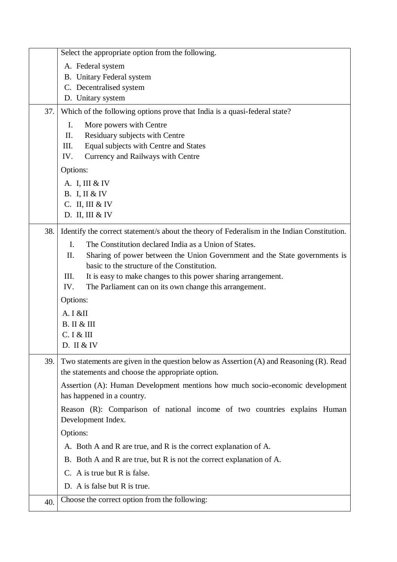| Select the appropriate option from the following.                                                                                                   |  |
|-----------------------------------------------------------------------------------------------------------------------------------------------------|--|
| A. Federal system                                                                                                                                   |  |
| B. Unitary Federal system                                                                                                                           |  |
| C. Decentralised system                                                                                                                             |  |
| D. Unitary system                                                                                                                                   |  |
| Which of the following options prove that India is a quasi-federal state?<br>37.                                                                    |  |
| I.<br>More powers with Centre                                                                                                                       |  |
| II.<br>Residuary subjects with Centre                                                                                                               |  |
| Equal subjects with Centre and States<br>III.<br>IV.<br>Currency and Railways with Centre                                                           |  |
| Options:                                                                                                                                            |  |
|                                                                                                                                                     |  |
| A. I, III & IV<br><b>B.</b> I, II & IV                                                                                                              |  |
| C. II, III & IV                                                                                                                                     |  |
| D. II, III & IV                                                                                                                                     |  |
| Identify the correct statement/s about the theory of Federalism in the Indian Constitution.<br>38.                                                  |  |
| $\mathbf{I}$ .<br>The Constitution declared India as a Union of States.                                                                             |  |
| Sharing of power between the Union Government and the State governments is<br>II.                                                                   |  |
| basic to the structure of the Constitution.                                                                                                         |  |
| III.<br>It is easy to make changes to this power sharing arrangement.                                                                               |  |
| The Parliament can on its own change this arrangement.<br>IV.                                                                                       |  |
| Options:                                                                                                                                            |  |
| A. I &II                                                                                                                                            |  |
| <b>B.</b> II & III                                                                                                                                  |  |
| C. I & H                                                                                                                                            |  |
| D. II & IV                                                                                                                                          |  |
| Two statements are given in the question below as Assertion (A) and Reasoning (R). Read<br>39.<br>the statements and choose the appropriate option. |  |
| Assertion (A): Human Development mentions how much socio-economic development                                                                       |  |
| has happened in a country.                                                                                                                          |  |
| Reason (R): Comparison of national income of two countries explains Human<br>Development Index.                                                     |  |
| Options:                                                                                                                                            |  |
| A. Both A and R are true, and R is the correct explanation of A.                                                                                    |  |
| B. Both A and R are true, but R is not the correct explanation of A.                                                                                |  |
| C. A is true but R is false.                                                                                                                        |  |
| D. A is false but R is true.                                                                                                                        |  |
| Choose the correct option from the following:<br>40.                                                                                                |  |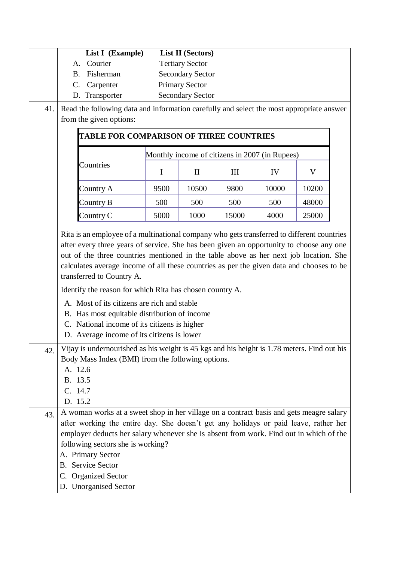|     | List I (Example)                                                                                                                                                                                                                                                                                                                                                                                                |             | <b>List II</b> (Sectors) |       |       |       |  |
|-----|-----------------------------------------------------------------------------------------------------------------------------------------------------------------------------------------------------------------------------------------------------------------------------------------------------------------------------------------------------------------------------------------------------------------|-------------|--------------------------|-------|-------|-------|--|
|     | Courier<br>A.                                                                                                                                                                                                                                                                                                                                                                                                   |             | <b>Tertiary Sector</b>   |       |       |       |  |
|     | Fisherman<br><b>B.</b>                                                                                                                                                                                                                                                                                                                                                                                          |             | <b>Secondary Sector</b>  |       |       |       |  |
|     | C.<br>Carpenter                                                                                                                                                                                                                                                                                                                                                                                                 |             | <b>Primary Sector</b>    |       |       |       |  |
|     | D. Transporter                                                                                                                                                                                                                                                                                                                                                                                                  |             | <b>Secondary Sector</b>  |       |       |       |  |
| 41. | Read the following data and information carefully and select the most appropriate answer                                                                                                                                                                                                                                                                                                                        |             |                          |       |       |       |  |
|     | from the given options:                                                                                                                                                                                                                                                                                                                                                                                         |             |                          |       |       |       |  |
|     | <b>TABLE FOR COMPARISON OF THREE COUNTRIES</b>                                                                                                                                                                                                                                                                                                                                                                  |             |                          |       |       |       |  |
|     | Monthly income of citizens in 2007 (in Rupees)                                                                                                                                                                                                                                                                                                                                                                  |             |                          |       |       |       |  |
|     | Countries                                                                                                                                                                                                                                                                                                                                                                                                       | $\mathbf I$ | $\mathbf{I}$             | III   | IV    | V     |  |
|     | Country A                                                                                                                                                                                                                                                                                                                                                                                                       | 9500        | 10500                    | 9800  | 10000 | 10200 |  |
|     | Country B                                                                                                                                                                                                                                                                                                                                                                                                       | 500         | 500                      | 500   | 500   | 48000 |  |
|     | Country C                                                                                                                                                                                                                                                                                                                                                                                                       | 5000        | 1000                     | 15000 | 4000  | 25000 |  |
|     | calculates average income of all these countries as per the given data and chooses to be<br>transferred to Country A.<br>Identify the reason for which Rita has chosen country A.<br>A. Most of its citizens are rich and stable<br>B. Has most equitable distribution of income<br>C. National income of its citizens is higher<br>D. Average income of its citizens is lower                                  |             |                          |       |       |       |  |
| 42. | Vijay is undernourished as his weight is 45 kgs and his height is 1.78 meters. Find out his                                                                                                                                                                                                                                                                                                                     |             |                          |       |       |       |  |
|     | Body Mass Index (BMI) from the following options.<br>A. 12.6<br>B. 13.5<br>C. 14.7<br>D. 15.2                                                                                                                                                                                                                                                                                                                   |             |                          |       |       |       |  |
| 43. | A woman works at a sweet shop in her village on a contract basis and gets meagre salary<br>after working the entire day. She doesn't get any holidays or paid leave, rather her<br>employer deducts her salary whenever she is absent from work. Find out in which of the<br>following sectors she is working?<br>A. Primary Sector<br><b>B.</b> Service Sector<br>C. Organized Sector<br>D. Unorganised Sector |             |                          |       |       |       |  |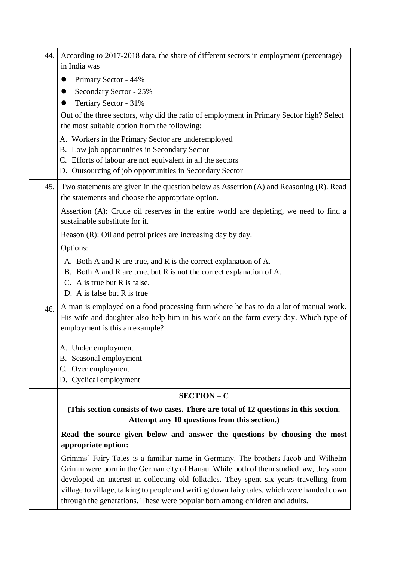| 44. | According to 2017-2018 data, the share of different sectors in employment (percentage)<br>in India was                                                                                                                                                                                                                                                                                                                                              |
|-----|-----------------------------------------------------------------------------------------------------------------------------------------------------------------------------------------------------------------------------------------------------------------------------------------------------------------------------------------------------------------------------------------------------------------------------------------------------|
|     | Primary Sector - 44%<br>$\bullet$                                                                                                                                                                                                                                                                                                                                                                                                                   |
|     | Secondary Sector - 25%<br>●                                                                                                                                                                                                                                                                                                                                                                                                                         |
|     | Tertiary Sector - 31%                                                                                                                                                                                                                                                                                                                                                                                                                               |
|     | Out of the three sectors, why did the ratio of employment in Primary Sector high? Select<br>the most suitable option from the following:                                                                                                                                                                                                                                                                                                            |
|     | A. Workers in the Primary Sector are underemployed                                                                                                                                                                                                                                                                                                                                                                                                  |
|     | B. Low job opportunities in Secondary Sector                                                                                                                                                                                                                                                                                                                                                                                                        |
|     | C. Efforts of labour are not equivalent in all the sectors                                                                                                                                                                                                                                                                                                                                                                                          |
|     | D. Outsourcing of job opportunities in Secondary Sector                                                                                                                                                                                                                                                                                                                                                                                             |
| 45. | Two statements are given in the question below as Assertion (A) and Reasoning (R). Read<br>the statements and choose the appropriate option.                                                                                                                                                                                                                                                                                                        |
|     | Assertion (A): Crude oil reserves in the entire world are depleting, we need to find a<br>sustainable substitute for it.                                                                                                                                                                                                                                                                                                                            |
|     | Reason $(R)$ : Oil and petrol prices are increasing day by day.                                                                                                                                                                                                                                                                                                                                                                                     |
|     | Options:                                                                                                                                                                                                                                                                                                                                                                                                                                            |
|     | A. Both A and R are true, and R is the correct explanation of A.<br>B. Both A and R are true, but R is not the correct explanation of A.<br>C. A is true but R is false.<br>D. A is false but R is true                                                                                                                                                                                                                                             |
|     |                                                                                                                                                                                                                                                                                                                                                                                                                                                     |
| 46. | A man is employed on a food processing farm where he has to do a lot of manual work.<br>His wife and daughter also help him in his work on the farm every day. Which type of<br>employment is this an example?                                                                                                                                                                                                                                      |
|     | A. Under employment                                                                                                                                                                                                                                                                                                                                                                                                                                 |
|     | B. Seasonal employment                                                                                                                                                                                                                                                                                                                                                                                                                              |
|     | C. Over employment                                                                                                                                                                                                                                                                                                                                                                                                                                  |
|     | D. Cyclical employment                                                                                                                                                                                                                                                                                                                                                                                                                              |
|     | <b>SECTION - C</b>                                                                                                                                                                                                                                                                                                                                                                                                                                  |
|     | (This section consists of two cases. There are total of 12 questions in this section.<br>Attempt any 10 questions from this section.)                                                                                                                                                                                                                                                                                                               |
|     | Read the source given below and answer the questions by choosing the most<br>appropriate option:                                                                                                                                                                                                                                                                                                                                                    |
|     | Grimms' Fairy Tales is a familiar name in Germany. The brothers Jacob and Wilhelm<br>Grimm were born in the German city of Hanau. While both of them studied law, they soon<br>developed an interest in collecting old folktales. They spent six years travelling from<br>village to village, talking to people and writing down fairy tales, which were handed down<br>through the generations. These were popular both among children and adults. |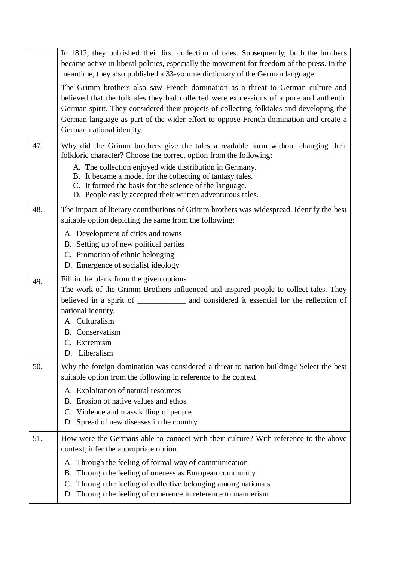|     | In 1812, they published their first collection of tales. Subsequently, both the brothers<br>became active in liberal politics, especially the movement for freedom of the press. In the<br>meantime, they also published a 33-volume dictionary of the German language.<br>The Grimm brothers also saw French domination as a threat to German culture and<br>believed that the folktales they had collected were expressions of a pure and authentic<br>German spirit. They considered their projects of collecting folktales and developing the<br>German language as part of the wider effort to oppose French domination and create a<br>German national identity. |
|-----|------------------------------------------------------------------------------------------------------------------------------------------------------------------------------------------------------------------------------------------------------------------------------------------------------------------------------------------------------------------------------------------------------------------------------------------------------------------------------------------------------------------------------------------------------------------------------------------------------------------------------------------------------------------------|
| 47. | Why did the Grimm brothers give the tales a readable form without changing their<br>folkloric character? Choose the correct option from the following:<br>A. The collection enjoyed wide distribution in Germany.<br>B. It became a model for the collecting of fantasy tales.<br>C. It formed the basis for the science of the language.<br>D. People easily accepted their written adventurous tales.                                                                                                                                                                                                                                                                |
| 48. | The impact of literary contributions of Grimm brothers was widespread. Identify the best<br>suitable option depicting the same from the following:<br>A. Development of cities and towns<br>B. Setting up of new political parties<br>C. Promotion of ethnic belonging<br>D. Emergence of socialist ideology                                                                                                                                                                                                                                                                                                                                                           |
| 49. | Fill in the blank from the given options<br>The work of the Grimm Brothers influenced and inspired people to collect tales. They<br>believed in a spirit of ______________ and considered it essential for the reflection of<br>national identity.<br>A. Culturalism<br><b>B.</b> Conservatism<br>C. Extremism<br>Liberalism<br>D.                                                                                                                                                                                                                                                                                                                                     |
| 50. | Why the foreign domination was considered a threat to nation building? Select the best<br>suitable option from the following in reference to the context.<br>A. Exploitation of natural resources<br>B. Erosion of native values and ethos<br>C. Violence and mass killing of people<br>D. Spread of new diseases in the country                                                                                                                                                                                                                                                                                                                                       |
| 51. | How were the Germans able to connect with their culture? With reference to the above<br>context, infer the appropriate option.<br>A. Through the feeling of formal way of communication<br>Through the feeling of oneness as European community<br>B.<br>Through the feeling of collective belonging among nationals<br>C.<br>D. Through the feeling of coherence in reference to mannerism                                                                                                                                                                                                                                                                            |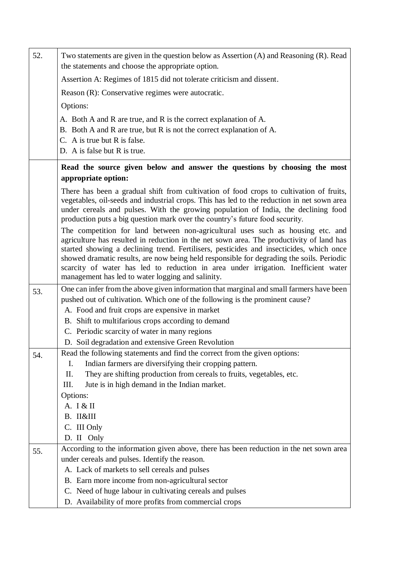| 52. | Two statements are given in the question below as Assertion (A) and Reasoning (R). Read<br>the statements and choose the appropriate option.                                                                                                                                                                                                                                                                                                                                                                   |
|-----|----------------------------------------------------------------------------------------------------------------------------------------------------------------------------------------------------------------------------------------------------------------------------------------------------------------------------------------------------------------------------------------------------------------------------------------------------------------------------------------------------------------|
|     | Assertion A: Regimes of 1815 did not tolerate criticism and dissent.                                                                                                                                                                                                                                                                                                                                                                                                                                           |
|     | Reason (R): Conservative regimes were autocratic.                                                                                                                                                                                                                                                                                                                                                                                                                                                              |
|     | Options:                                                                                                                                                                                                                                                                                                                                                                                                                                                                                                       |
|     | A. Both A and R are true, and R is the correct explanation of A.                                                                                                                                                                                                                                                                                                                                                                                                                                               |
|     | B. Both A and R are true, but R is not the correct explanation of A.                                                                                                                                                                                                                                                                                                                                                                                                                                           |
|     | C. A is true but R is false.                                                                                                                                                                                                                                                                                                                                                                                                                                                                                   |
|     | D. A is false but R is true.                                                                                                                                                                                                                                                                                                                                                                                                                                                                                   |
|     | Read the source given below and answer the questions by choosing the most<br>appropriate option:                                                                                                                                                                                                                                                                                                                                                                                                               |
|     | There has been a gradual shift from cultivation of food crops to cultivation of fruits,<br>vegetables, oil-seeds and industrial crops. This has led to the reduction in net sown area<br>under cereals and pulses. With the growing population of India, the declining food<br>production puts a big question mark over the country's future food security.                                                                                                                                                    |
|     | The competition for land between non-agricultural uses such as housing etc. and<br>agriculture has resulted in reduction in the net sown area. The productivity of land has<br>started showing a declining trend. Fertilisers, pesticides and insecticides, which once<br>showed dramatic results, are now being held responsible for degrading the soils. Periodic<br>scarcity of water has led to reduction in area under irrigation. Inefficient water<br>management has led to water logging and salinity. |
| 53. | One can infer from the above given information that marginal and small farmers have been                                                                                                                                                                                                                                                                                                                                                                                                                       |
|     | pushed out of cultivation. Which one of the following is the prominent cause?                                                                                                                                                                                                                                                                                                                                                                                                                                  |
|     | A. Food and fruit crops are expensive in market                                                                                                                                                                                                                                                                                                                                                                                                                                                                |
|     | B. Shift to multifarious crops according to demand                                                                                                                                                                                                                                                                                                                                                                                                                                                             |
|     | C. Periodic scarcity of water in many regions                                                                                                                                                                                                                                                                                                                                                                                                                                                                  |
|     |                                                                                                                                                                                                                                                                                                                                                                                                                                                                                                                |
|     | D. Soil degradation and extensive Green Revolution                                                                                                                                                                                                                                                                                                                                                                                                                                                             |
| 54. | Read the following statements and find the correct from the given options:<br>Ι.                                                                                                                                                                                                                                                                                                                                                                                                                               |
|     | Indian farmers are diversifying their cropping pattern.<br>II.                                                                                                                                                                                                                                                                                                                                                                                                                                                 |
|     | They are shifting production from cereals to fruits, vegetables, etc.<br>Jute is in high demand in the Indian market.<br>III.                                                                                                                                                                                                                                                                                                                                                                                  |
|     | Options:                                                                                                                                                                                                                                                                                                                                                                                                                                                                                                       |
|     | A. I & II                                                                                                                                                                                                                                                                                                                                                                                                                                                                                                      |
|     | B. II&III                                                                                                                                                                                                                                                                                                                                                                                                                                                                                                      |
|     | C. III Only                                                                                                                                                                                                                                                                                                                                                                                                                                                                                                    |
|     | D. II Only                                                                                                                                                                                                                                                                                                                                                                                                                                                                                                     |
| 55. | According to the information given above, there has been reduction in the net sown area                                                                                                                                                                                                                                                                                                                                                                                                                        |
|     | under cereals and pulses. Identify the reason.                                                                                                                                                                                                                                                                                                                                                                                                                                                                 |
|     | A. Lack of markets to sell cereals and pulses                                                                                                                                                                                                                                                                                                                                                                                                                                                                  |
|     | B. Earn more income from non-agricultural sector<br>C. Need of huge labour in cultivating cereals and pulses                                                                                                                                                                                                                                                                                                                                                                                                   |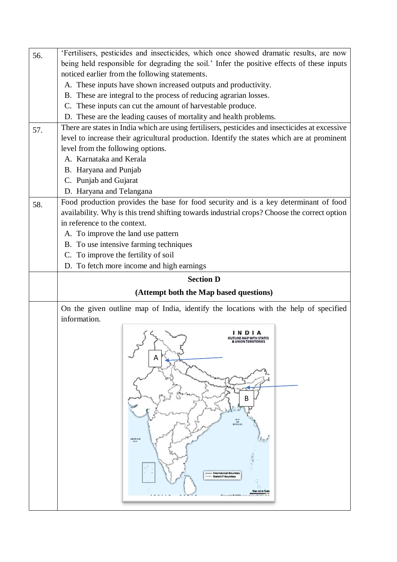| 'Fertilisers, pesticides and insecticides, which once showed dramatic results, are now               |
|------------------------------------------------------------------------------------------------------|
| being held responsible for degrading the soil.' Infer the positive effects of these inputs           |
| noticed earlier from the following statements.                                                       |
| A. These inputs have shown increased outputs and productivity.                                       |
| B. These are integral to the process of reducing agrarian losses.                                    |
| C. These inputs can cut the amount of harvestable produce.                                           |
| D. These are the leading causes of mortality and health problems.                                    |
| There are states in India which are using fertilisers, pesticides and insecticides at excessive      |
| level to increase their agricultural production. Identify the states which are at prominent          |
| level from the following options.                                                                    |
| A. Karnataka and Kerala                                                                              |
| B. Haryana and Punjab                                                                                |
| C. Punjab and Gujarat                                                                                |
| D. Haryana and Telangana                                                                             |
| Food production provides the base for food security and is a key determinant of food                 |
| availability. Why is this trend shifting towards industrial crops? Choose the correct option         |
| in reference to the context.                                                                         |
| A. To improve the land use pattern                                                                   |
| B. To use intensive farming techniques                                                               |
| C. To improve the fertility of soil                                                                  |
| D. To fetch more income and high earnings                                                            |
| <b>Section D</b>                                                                                     |
| (Attempt both the Map based questions)                                                               |
| On the given outline map of India, identify the locations with the help of specified<br>information. |
| А<br>В<br><br><br>ABIBIAN<br>den.<br>18.4<br>international So<br><b>Guite/UT Boundar</b>             |
|                                                                                                      |